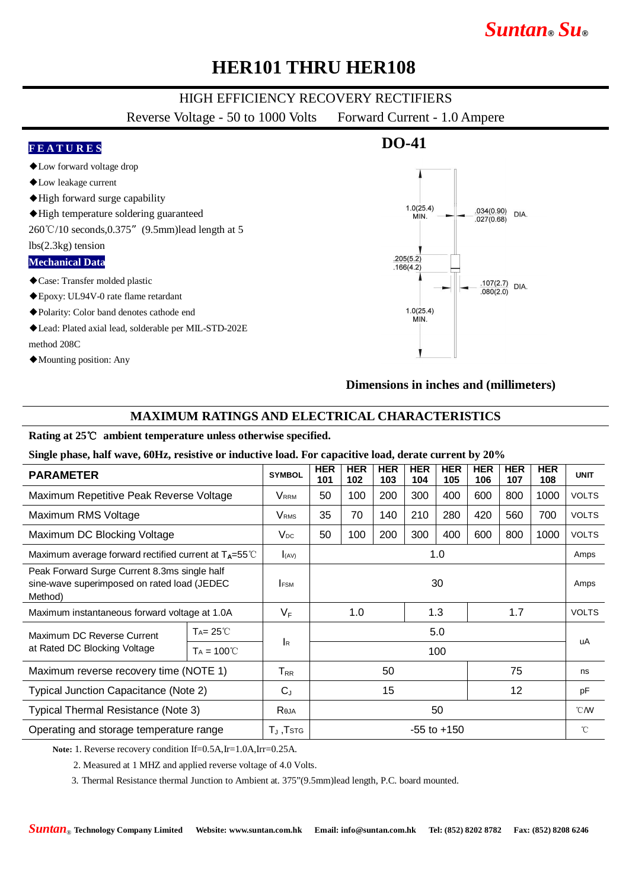# *Suntan***®** *Su***®**

### **HER101 THRU HER108**

### HIGH EFFICIENCY RECOVERY RECTIFIERS

Reverse Voltage - 50 to 1000 Volts Forward Current - 1.0 Ampere



### **MAXIMUM RATINGS AND ELECTRICAL CHARACTERISTICS**

#### **Rating at 25**℃ **ambient temperature unless otherwise specified.**

**Single phase, half wave, 60Hz, resistive or inductive load. For capacitive load, derate current by 20%**

| <b>PARAMETER</b>                                                                                        |                     | <b>SYMBOL</b>                | <b>HER</b><br>101 | <b>HER</b><br>102 | <b>HER</b><br>103 | <b>HER</b><br>104 | <b>HER</b><br>105 | <b>HER</b><br>106 | <b>HER</b><br>107 | <b>HER</b><br>108 | <b>UNIT</b>    |
|---------------------------------------------------------------------------------------------------------|---------------------|------------------------------|-------------------|-------------------|-------------------|-------------------|-------------------|-------------------|-------------------|-------------------|----------------|
| Maximum Repetitive Peak Reverse Voltage                                                                 |                     | VRRM                         | 50                | 100               | 200               | 300               | 400               | 600               | 800               | 1000              | <b>VOLTS</b>   |
| Maximum RMS Voltage                                                                                     |                     | <b>V</b> <sub>RMS</sub>      | 35                | 70                | 140               | 210               | 280               | 420               | 560               | 700               | <b>VOLTS</b>   |
| Maximum DC Blocking Voltage                                                                             |                     | $V_{DC}$                     | 50                | 100               | 200               | 300               | 400               | 600               | 800               | 1000              | <b>VOLTS</b>   |
| Maximum average forward rectified current at $T_A = 55^{\circ}$ C                                       |                     | (AV)                         | 1.0               |                   |                   |                   |                   |                   |                   |                   | Amps           |
| Peak Forward Surge Current 8.3ms single half<br>sine-wave superimposed on rated load (JEDEC)<br>Method) |                     | <b>IFSM</b>                  | 30                |                   |                   |                   |                   |                   |                   | Amps              |                |
| Maximum instantaneous forward voltage at 1.0A                                                           |                     | $V_F$                        | 1.3<br>1.0<br>1.7 |                   |                   |                   |                   | <b>VOLTS</b>      |                   |                   |                |
| Maximum DC Reverse Current<br>at Rated DC Blocking Voltage                                              | $Ta = 25^{\circ}C$  | <b>I</b> R                   | 5.0               |                   |                   |                   |                   |                   |                   |                   | uA             |
|                                                                                                         | $Ta = 100^{\circ}C$ |                              | 100               |                   |                   |                   |                   |                   |                   |                   |                |
| Maximum reverse recovery time (NOTE 1)                                                                  |                     | $T_{RR}$                     | 50                |                   |                   | 75                |                   | ns                |                   |                   |                |
| Typical Junction Capacitance (Note 2)                                                                   |                     | $C_{J}$                      | 15                |                   |                   |                   | 12                |                   | pF                |                   |                |
| Typical Thermal Resistance (Note 3)                                                                     |                     | Reja                         | 50                |                   |                   |                   |                   |                   |                   |                   | $^{\circ}$ CMV |
| Operating and storage temperature range                                                                 |                     | $T_{\rm J}$ ,Т $\rm s\tau$ с | $-55$ to $+150$   |                   |                   |                   |                   |                   |                   |                   | $^{\circ}$ C   |

**Note:** 1. Reverse recovery condition If=0.5A,Ir=1.0A,Irr=0.25A.

2. Measured at 1 MHZ and applied reverse voltage of 4.0 Volts.

3. Thermal Resistance thermal Junction to Ambient at. 375"(9.5mm)lead length, P.C. board mounted.